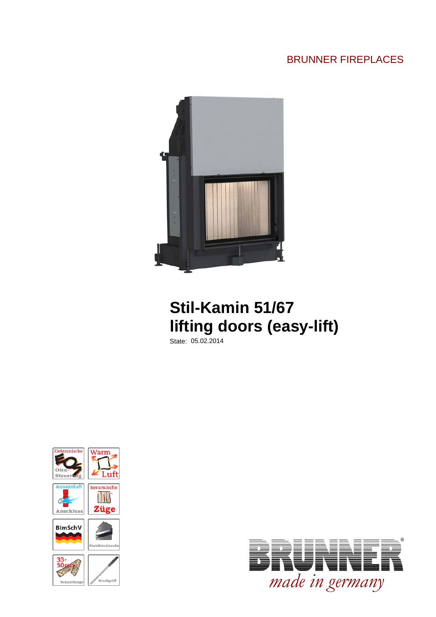## BRUNNER FIREPLACES



## **Stil-Kamin 51/67 lifting doors (easy-lift)**

State: 05.02.2014



Steckgriff Schnittlän

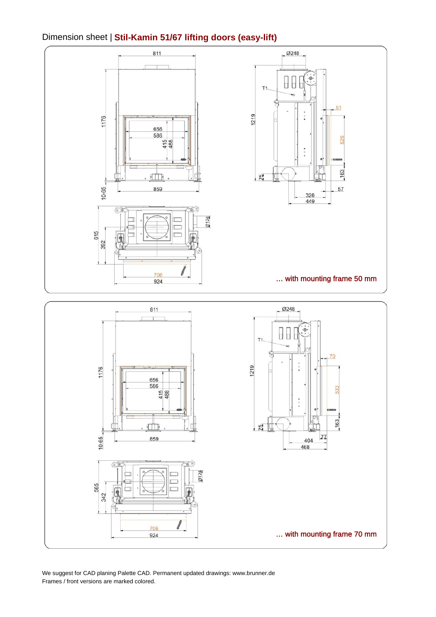#### Dimension sheet | **Stil-Kamin 51/67 lifting doors (easy-lift)**



We suggest for CAD planing Palette CAD. Permanent updated drawings: www.brunner.de Frames / front versions are marked colored.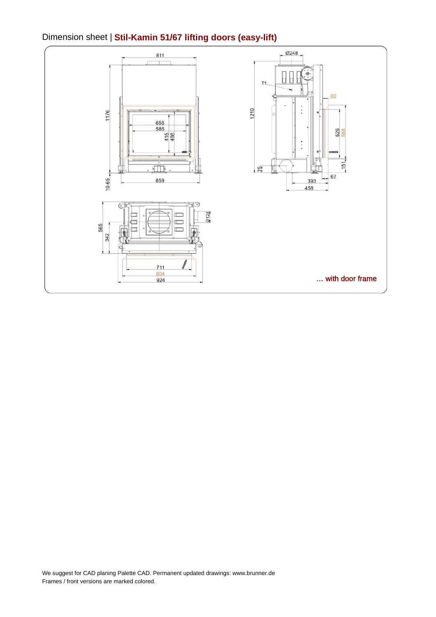### Dimension sheet | **Stil-Kamin 51/67 lifting doors (easy-lift)**